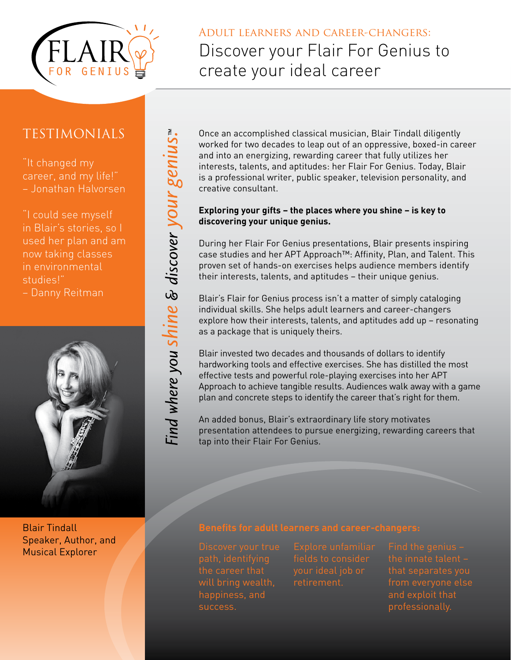

# Adult learners and career-changers: Discover your Flair For Genius to create your ideal career

## Testimonials

"It changed my career, and my life!" – Jonathan Halvorsen

"I could see myself in Blair's stories, so I used her plan and am now taking classes in environmental studies!" – Danny Reitman



Blair Tindall Speaker, Author, and Musical Explorer

Once an accomplished classical musician, Blair Tindall diligently worked for two decades to leap out of an oppressive, boxed-in career and into an energizing, rewarding career that fully utilizes her interests, talents, and aptitudes: her Flair For Genius. Today, Blair is a professional writer, public speaker, television personality, and creative consultant.

### **Exploring your gifts – the places where you shine – is key to discovering your unique genius.**

During her Flair For Genius presentations, Blair presents inspiring case studies and her APT Approach™: Affinity, Plan, and Talent. This proven set of hands-on exercises helps audience members identify their interests, talents, and aptitudes – their unique genius.

Blair's Flair for Genius process isn't a matter of simply cataloging individual skills. She helps adult learners and career-changers explore how their interests, talents, and aptitudes add up – resonating as a package that is uniquely theirs.

Blair invested two decades and thousands of dollars to identify hardworking tools and effective exercises. She has distilled the most effective tests and powerful role-playing exercises into her APT Approach to achieve tangible results. Audiences walk away with a game plan and concrete steps to identify the career that's right for them.

An added bonus, Blair's extraordinary life story motivates presentation attendees to pursue energizing, rewarding careers that tap into their Flair For Genius.

happiness, and success.

retirement.

from everyone else and exploit that professionally.

Find where you shine & discover your genius."